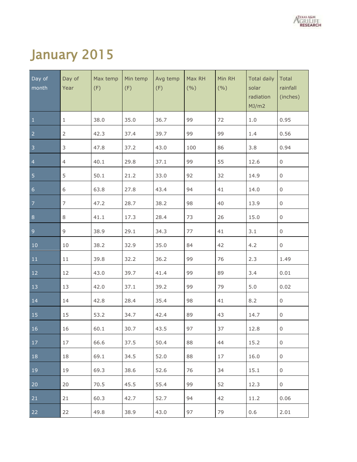

# January 2015

| Day of<br>month | Day of<br>Year | Max temp<br>(F) | Min temp<br>(F) | Avg temp<br>(F) | Max RH<br>(9/0) | Min RH<br>(9/0) | Total daily<br>solar<br>radiation<br>MJ/m2 | <b>Total</b><br>rainfall<br>(inches) |
|-----------------|----------------|-----------------|-----------------|-----------------|-----------------|-----------------|--------------------------------------------|--------------------------------------|
| $\mathbf{1}$    | $\mathbf{1}$   | 38.0            | 35.0            | 36.7            | 99              | 72              | $1.0\,$                                    | 0.95                                 |
| $\overline{2}$  | $\overline{2}$ | 42.3            | 37.4            | 39.7            | 99              | 99              | 1.4                                        | 0.56                                 |
| $\overline{3}$  | $\mathsf 3$    | 47.8            | 37.2            | 43.0            | 100             | 86              | 3.8                                        | 0.94                                 |
| $\overline{4}$  | $\overline{4}$ | 40.1            | 29.8            | 37.1            | 99              | 55              | 12.6                                       | 0                                    |
| $\overline{5}$  | 5              | 50.1            | 21.2            | 33.0            | 92              | 32              | 14.9                                       | 0                                    |
| $6\,$           | 6              | 63.8            | 27.8            | 43.4            | 94              | 41              | 14.0                                       | 0                                    |
| $\overline{7}$  | $\overline{7}$ | 47.2            | 28.7            | 38.2            | 98              | 40              | 13.9                                       | 0                                    |
| $\bf 8$         | 8              | 41.1            | 17.3            | 28.4            | 73              | 26              | 15.0                                       | 0                                    |
| $\overline{9}$  | $9$            | 38.9            | 29.1            | 34.3            | 77              | 41              | 3.1                                        | 0                                    |
| 10              | 10             | 38.2            | 32.9            | 35.0            | 84              | 42              | 4.2                                        | 0                                    |
| 11              | 11             | 39.8            | 32.2            | 36.2            | 99              | 76              | 2.3                                        | 1.49                                 |
| 12              | 12             | 43.0            | 39.7            | 41.4            | 99              | 89              | 3.4                                        | 0.01                                 |
| 13              | 13             | 42.0            | 37.1            | 39.2            | 99              | 79              | $5.0$                                      | 0.02                                 |
| 14              | 14             | 42.8            | 28.4            | 35.4            | 98              | 41              | 8.2                                        | $\mathbf 0$                          |
| 15              | 15             | 53.2            | 34.7            | 42.4            | 89              | 43              | 14.7                                       | 0                                    |
| 16              | 16             | 60.1            | 30.7            | 43.5            | 97              | 37              | 12.8                                       | 0                                    |
| 17              | 17             | 66.6            | 37.5            | 50.4            | 88              | 44              | 15.2                                       | 0                                    |
| 18              | 18             | 69.1            | 34.5            | 52.0            | 88              | 17              | 16.0                                       | 0                                    |
| 19              | 19             | 69.3            | 38.6            | 52.6            | 76              | 34              | 15.1                                       | 0                                    |
| 20              | 20             | 70.5            | 45.5            | 55.4            | 99              | 52              | 12.3                                       | 0                                    |
| 21              | 21             | 60.3            | 42.7            | 52.7            | 94              | 42              | 11.2                                       | 0.06                                 |
| 22              | 22             | 49.8            | 38.9            | 43.0            | 97              | 79              | 0.6                                        | 2.01                                 |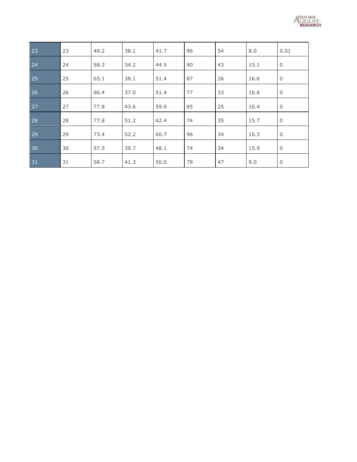

| 23 | 23 | 49.2 | 38.1 | 41.7 | 96 | 54 | 8.0  | 0.01        |
|----|----|------|------|------|----|----|------|-------------|
| 24 | 24 | 58.3 | 34.2 | 44.5 | 90 | 43 | 15.1 | $\mathbf 0$ |
| 25 | 25 | 65.1 | 38.1 | 51.4 | 87 | 26 | 16.6 | $\mathsf 0$ |
| 26 | 26 | 66.4 | 37.0 | 51.4 | 77 | 33 | 16.6 | $\mathbf 0$ |
| 27 | 27 | 77.8 | 43.6 | 59.9 | 85 | 25 | 16.4 | 0           |
| 28 | 28 | 77.8 | 51.2 | 62.4 | 74 | 35 | 15.7 | $\mathbf 0$ |
| 29 | 29 | 73.4 | 52.2 | 60.7 | 96 | 34 | 16.3 | $\mathbf 0$ |
| 30 | 30 | 57.5 | 39.7 | 48.1 | 74 | 34 | 15.9 | $\mathbf 0$ |
| 31 | 31 | 58.7 | 41.3 | 50.0 | 78 | 47 | 9.0  | $\mathbf 0$ |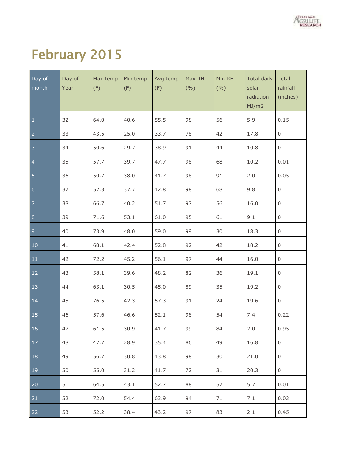

# February 2015

| Day of<br>month | Day of<br>Year | Max temp<br>(F) | Min temp<br>(F) | Avg temp<br>(F) | Max RH<br>(9/0) | Min RH<br>(9/0) | Total daily<br>solar<br>radiation<br>MJ/m2 | Total<br>rainfall<br>(inches) |
|-----------------|----------------|-----------------|-----------------|-----------------|-----------------|-----------------|--------------------------------------------|-------------------------------|
| $\mathbf{1}$    | 32             | 64.0            | 40.6            | 55.5            | 98              | 56              | 5.9                                        | 0.15                          |
| $\overline{2}$  | 33             | 43.5            | 25.0            | 33.7            | 78              | 42              | 17.8                                       | 0                             |
| $\overline{3}$  | 34             | 50.6            | 29.7            | 38.9            | 91              | 44              | 10.8                                       | 0                             |
| $\overline{4}$  | 35             | 57.7            | 39.7            | 47.7            | 98              | 68              | 10.2                                       | 0.01                          |
| $\overline{5}$  | 36             | 50.7            | 38.0            | 41.7            | 98              | 91              | 2.0                                        | 0.05                          |
| $\overline{6}$  | 37             | 52.3            | 37.7            | 42.8            | 98              | 68              | 9.8                                        | 0                             |
| $\overline{7}$  | 38             | 66.7            | 40.2            | 51.7            | 97              | 56              | 16.0                                       | 0                             |
| 8 <sup>°</sup>  | 39             | 71.6            | 53.1            | 61.0            | 95              | 61              | 9.1                                        | 0                             |
| $\overline{9}$  | 40             | 73.9            | 48.0            | 59.0            | 99              | 30              | 18.3                                       | 0                             |
| $10\,$          | 41             | 68.1            | 42.4            | 52.8            | 92              | 42              | 18.2                                       | 0                             |
| 11              | 42             | 72.2            | 45.2            | 56.1            | 97              | 44              | 16.0                                       | $\mathsf{O}$                  |
| 12              | 43             | 58.1            | 39.6            | 48.2            | 82              | 36              | 19.1                                       | $\mathsf{O}$                  |
| 13              | 44             | 63.1            | 30.5            | 45.0            | 89              | 35              | 19.2                                       | $\mathsf{O}$                  |
| 14              | 45             | 76.5            | 42.3            | 57.3            | 91              | 24              | 19.6                                       | $\mathsf{O}$                  |
| 15              | 46             | 57.6            | 46.6            | 52.1            | 98              | 54              | 7.4                                        | 0.22                          |
| 16              | 47             | 61.5            | 30.9            | 41.7            | 99              | 84              | 2.0                                        | 0.95                          |
| 17              | 48             | 47.7            | 28.9            | 35.4            | 86              | 49              | 16.8                                       | 0                             |
| 18              | 49             | 56.7            | 30.8            | 43.8            | 98              | 30              | 21.0                                       | 0                             |
| 19              | 50             | 55.0            | 31.2            | 41.7            | 72              | 31              | 20.3                                       | 0                             |
| 20              | 51             | 64.5            | 43.1            | 52.7            | 88              | 57              | 5.7                                        | 0.01                          |
| 21              | 52             | 72.0            | 54.4            | 63.9            | 94              | 71              | 7.1                                        | 0.03                          |
| 22              | 53             | 52.2            | 38.4            | 43.2            | 97              | 83              | 2.1                                        | 0.45                          |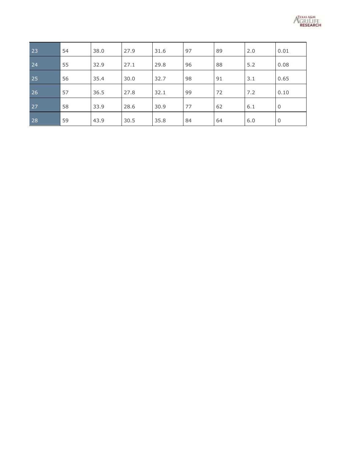

| 23 | 54 | 38.0 | 27.9 | 31.6 | 97 | 89 | 2.0 | 0.01        |
|----|----|------|------|------|----|----|-----|-------------|
| 24 | 55 | 32.9 | 27.1 | 29.8 | 96 | 88 | 5.2 | 0.08        |
| 25 | 56 | 35.4 | 30.0 | 32.7 | 98 | 91 | 3.1 | 0.65        |
| 26 | 57 | 36.5 | 27.8 | 32.1 | 99 | 72 | 7.2 | 0.10        |
| 27 | 58 | 33.9 | 28.6 | 30.9 | 77 | 62 | 6.1 | $\mathbf 0$ |
| 28 | 59 | 43.9 | 30.5 | 35.8 | 84 | 64 | 6.0 | $\mathbf 0$ |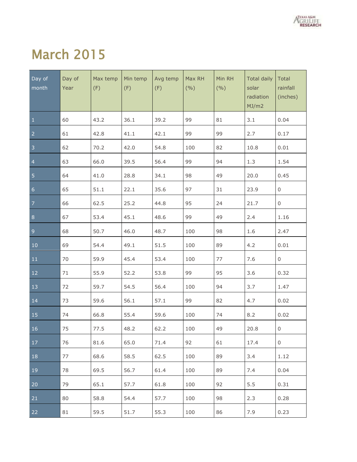

#### March 2015

| Day of<br>month | Day of<br>Year | Max temp<br>(F) | Min temp<br>(F) | Avg temp<br>(F) | Max RH<br>(9/0) | Min RH<br>(9/0) | <b>Total daily</b><br>solar<br>radiation<br>MJ/m2 | Total<br>rainfall<br>(inches) |
|-----------------|----------------|-----------------|-----------------|-----------------|-----------------|-----------------|---------------------------------------------------|-------------------------------|
| $\mathbf{1}$    | 60             | 43.2            | 36.1            | 39.2            | 99              | 81              | 3.1                                               | 0.04                          |
| $\overline{2}$  | 61             | 42.8            | 41.1            | 42.1            | 99              | 99              | 2.7                                               | 0.17                          |
| $\overline{3}$  | 62             | 70.2            | 42.0            | 54.8            | 100             | 82              | 10.8                                              | 0.01                          |
| $\overline{4}$  | 63             | 66.0            | 39.5            | 56.4            | 99              | 94              | 1.3                                               | 1.54                          |
| $\overline{5}$  | 64             | 41.0            | 28.8            | 34.1            | 98              | 49              | 20.0                                              | 0.45                          |
| $6\phantom{a}$  | 65             | 51.1            | 22.1            | 35.6            | 97              | 31              | 23.9                                              | $\mathsf{O}\xspace$           |
| $\overline{7}$  | 66             | 62.5            | 25.2            | 44.8            | 95              | 24              | 21.7                                              | $\mathsf{O}\xspace$           |
| $\bf 8$         | 67             | 53.4            | 45.1            | 48.6            | 99              | 49              | 2.4                                               | 1.16                          |
| $\overline{9}$  | 68             | 50.7            | 46.0            | 48.7            | 100             | 98              | 1.6                                               | 2.47                          |
| 10              | 69             | 54.4            | 49.1            | 51.5            | 100             | 89              | 4.2                                               | 0.01                          |
| $11\,$          | 70             | 59.9            | 45.4            | 53.4            | 100             | 77              | 7.6                                               | 0                             |
| 12              | 71             | 55.9            | 52.2            | 53.8            | 99              | 95              | 3.6                                               | 0.32                          |
| 13              | 72             | 59.7            | 54.5            | 56.4            | 100             | 94              | 3.7                                               | 1.47                          |
| 14              | 73             | 59.6            | 56.1            | 57.1            | 99              | 82              | 4.7                                               | 0.02                          |
| 15              | 74             | 66.8            | 55.4            | 59.6            | 100             | 74              | 8.2                                               | 0.02                          |
| <sup>16</sup>   | 75             | 77.5            | 48.2            | 62.2            | 100             | 49              | 20.8                                              | $\overline{0}$                |
| $\vert$ 17      | 76             | 81.6            | 65.0            | 71.4            | 92              | 61              | 17.4                                              | 0                             |
| 18              | 77             | 68.6            | 58.5            | 62.5            | 100             | 89              | 3.4                                               | 1.12                          |
| $ 19\rangle$    | 78             | 69.5            | 56.7            | 61.4            | 100             | 89              | 7.4                                               | 0.04                          |
| 20              | 79             | 65.1            | 57.7            | 61.8            | 100             | 92              | 5.5                                               | 0.31                          |
| 21              | 80             | 58.8            | 54.4            | 57.7            | 100             | 98              | 2.3                                               | 0.28                          |
| 22              | 81             | 59.5            | 51.7            | 55.3            | 100             | 86              | 7.9                                               | 0.23                          |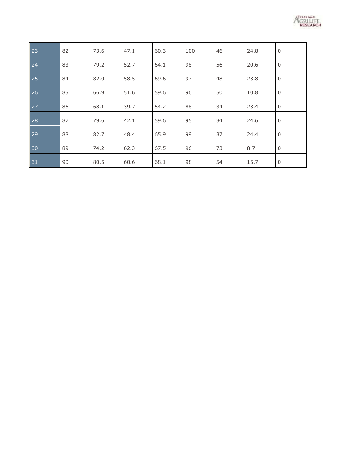

| 23 | 82 | 73.6 | 47.1 | 60.3 | 100 | 46 | 24.8 | $\mathbf 0$    |
|----|----|------|------|------|-----|----|------|----------------|
| 24 | 83 | 79.2 | 52.7 | 64.1 | 98  | 56 | 20.6 | $\mathbf 0$    |
| 25 | 84 | 82.0 | 58.5 | 69.6 | 97  | 48 | 23.8 | $\mathbf 0$    |
| 26 | 85 | 66.9 | 51.6 | 59.6 | 96  | 50 | 10.8 | $\overline{0}$ |
| 27 | 86 | 68.1 | 39.7 | 54.2 | 88  | 34 | 23.4 | $\mathbf 0$    |
| 28 | 87 | 79.6 | 42.1 | 59.6 | 95  | 34 | 24.6 | $\mathbf 0$    |
| 29 | 88 | 82.7 | 48.4 | 65.9 | 99  | 37 | 24.4 | $\overline{0}$ |
| 30 | 89 | 74.2 | 62.3 | 67.5 | 96  | 73 | 8.7  | $\Omega$       |
| 31 | 90 | 80.5 | 60.6 | 68.1 | 98  | 54 | 15.7 | $\mathbf 0$    |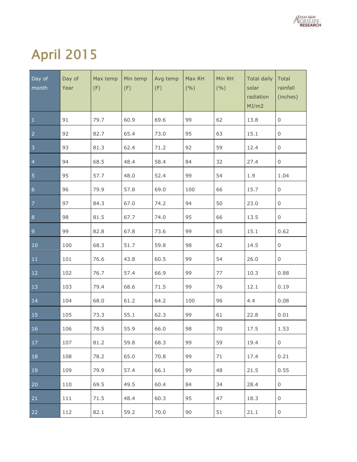

# April 2015

| Day of<br>month | Day of<br>Year | Max temp<br>(F) | Min temp<br>(F) | Avg temp<br>(F) | Max RH<br>(9/0) | Min RH<br>(9/0) | <b>Total daily</b><br>solar<br>radiation<br>MJ/m2 | Total<br>rainfall<br>(inches) |
|-----------------|----------------|-----------------|-----------------|-----------------|-----------------|-----------------|---------------------------------------------------|-------------------------------|
| $\mathbf{1}$    | 91             | 79.7            | 60.9            | 69.6            | 99              | 62              | 13.8                                              | $\mathsf{O}\xspace$           |
| $\overline{2}$  | 92             | 82.7            | 65.4            | 73.0            | 95              | 63              | 15.1                                              | $\mathsf{O}\xspace$           |
| $\overline{3}$  | 93             | 81.3            | 62.4            | 71.2            | 92              | 59              | 12.4                                              | 0                             |
| $\overline{4}$  | 94             | 68.5            | 48.4            | 58.4            | 84              | 32              | 27.4                                              | $\mathsf{O}\xspace$           |
| $\overline{5}$  | 95             | 57.7            | 48.0            | 52.4            | 99              | 54              | 1.9                                               | 1.04                          |
| $6\phantom{a}$  | 96             | 79.9            | 57.8            | 69.0            | 100             | 66              | 15.7                                              | $\mathsf{O}\xspace$           |
| $\overline{7}$  | 97             | 84.3            | 67.0            | 74.2            | 94              | 50              | 23.0                                              | $\mathsf{O}\xspace$           |
| $\bf 8$         | 98             | 81.5            | 67.7            | 74.0            | 95              | 66              | 13.5                                              | $\mathsf{O}\xspace$           |
| $\overline{9}$  | 99             | 82.8            | 67.8            | 73.6            | 99              | 65              | 15.1                                              | 0.62                          |
| 10              | 100            | 68.3            | 51.7            | 59.8            | 98              | 62              | 14.5                                              | 0                             |
| $11\,$          | 101            | 76.6            | 43.8            | 60.5            | 99              | 54              | 26.0                                              | 0                             |
| 12              | 102            | 76.7            | 57.4            | 66.9            | 99              | 77              | 10.3                                              | 0.88                          |
| 13              | 103            | 79.4            | 68.6            | 71.5            | 99              | 76              | 12.1                                              | 0.19                          |
| 14              | 104            | 68.0            | 61.2            | 64.2            | 100             | 96              | 4.4                                               | 0.08                          |
| 15              | 105            | 73.3            | 55.1            | 62.3            | 99              | 61              | 22.8                                              | 0.01                          |
| 16              | 106            | 78.5            | 55.9            | 66.0            | 98              | 70              | 17.5                                              | 1.53                          |
| $\vert$ 17      | 107            | 81.2            | 59.8            | 68.3            | 99              | 59              | 19.4                                              | $\overline{0}$                |
| 18              | 108            | 78.2            | 65.0            | 70.8            | 99              | 71              | 17.4                                              | 0.21                          |
| $ 19\rangle$    | 109            | 79.9            | 57.4            | 66.1            | 99              | 48              | 21.5                                              | 0.55                          |
| 20              | 110            | 69.5            | 49.5            | 60.4            | 84              | 34              | 28.4                                              | 0                             |
| 21              | 111            | 71.5            | 48.4            | 60.3            | 95              | 47              | 18.3                                              | 0                             |
| 22              | 112            | 82.1            | 59.2            | 70.0            | 90              | 51              | 21.1                                              | 0                             |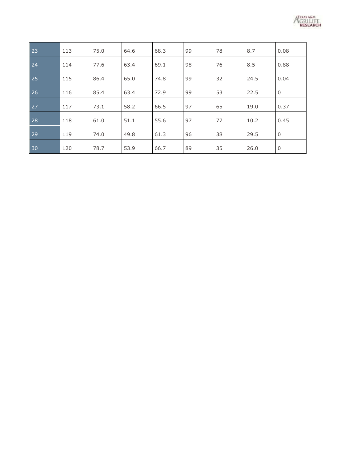

| 23 | 113 | 75.0 | 64.6 | 68.3 | 99 | 78 | 8.7  | 0.08        |
|----|-----|------|------|------|----|----|------|-------------|
| 24 | 114 | 77.6 | 63.4 | 69.1 | 98 | 76 | 8.5  | 0.88        |
| 25 | 115 | 86.4 | 65.0 | 74.8 | 99 | 32 | 24.5 | 0.04        |
| 26 | 116 | 85.4 | 63.4 | 72.9 | 99 | 53 | 22.5 | $\mathbf 0$ |
| 27 | 117 | 73.1 | 58.2 | 66.5 | 97 | 65 | 19.0 | 0.37        |
| 28 | 118 | 61.0 | 51.1 | 55.6 | 97 | 77 | 10.2 | 0.45        |
| 29 | 119 | 74.0 | 49.8 | 61.3 | 96 | 38 | 29.5 | $\mathbf 0$ |
| 30 | 120 | 78.7 | 53.9 | 66.7 | 89 | 35 | 26.0 | $\mathbf 0$ |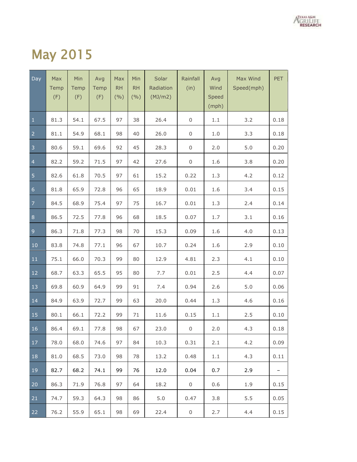

#### May 2015

| Day            | Max<br>Temp<br>(F) | Min<br>Temp<br>(F) | Avg<br>Temp<br>(F) | Max<br><b>RH</b><br>(9/0) | Min<br><b>RH</b><br>(9/0) | Solar<br>Radiation<br>(MJ/m2) | Rainfall<br>(in) | Avg<br>Wind<br>Speed<br>(mph) | Max Wind<br>Speed(mph) | <b>PET</b> |
|----------------|--------------------|--------------------|--------------------|---------------------------|---------------------------|-------------------------------|------------------|-------------------------------|------------------------|------------|
| $\mathbf 1$    | 81.3               | 54.1               | 67.5               | 97                        | 38                        | 26.4                          | $\,0\,$          | 1.1                           | 3.2                    | 0.18       |
| $\overline{2}$ | 81.1               | 54.9               | 68.1               | 98                        | 40                        | 26.0                          | 0                | $1.0$                         | 3.3                    | 0.18       |
| $\overline{3}$ | 80.6               | 59.1               | 69.6               | 92                        | 45                        | 28.3                          | 0                | 2.0                           | 5.0                    | 0.20       |
| $\overline{4}$ | 82.2               | 59.2               | 71.5               | 97                        | 42                        | 27.6                          | $\boldsymbol{0}$ | 1.6                           | 3.8                    | 0.20       |
| $\overline{5}$ | 82.6               | 61.8               | 70.5               | 97                        | 61                        | 15.2                          | 0.22             | 1.3                           | 4.2                    | 0.12       |
| $\sqrt{6}$     | 81.8               | 65.9               | 72.8               | 96                        | 65                        | 18.9                          | 0.01             | 1.6                           | 3.4                    | 0.15       |
| $\overline{7}$ | 84.5               | 68.9               | 75.4               | 97                        | 75                        | 16.7                          | 0.01             | 1.3                           | 2.4                    | 0.14       |
| $\bf 8$        | 86.5               | 72.5               | 77.8               | 96                        | 68                        | 18.5                          | 0.07             | 1.7                           | 3.1                    | 0.16       |
| $\overline{9}$ | 86.3               | 71.8               | 77.3               | 98                        | 70                        | 15.3                          | 0.09             | 1.6                           | 4.0                    | 0.13       |
| $10$           | 83.8               | 74.8               | 77.1               | 96                        | 67                        | 10.7                          | 0.24             | 1.6                           | 2.9                    | 0.10       |
| $11\,$         | 75.1               | 66.0               | 70.3               | 99                        | 80                        | 12.9                          | 4.81             | 2.3                           | 4.1                    | 0.10       |
| 12             | 68.7               | 63.3               | 65.5               | 95                        | 80                        | 7.7                           | 0.01             | 2.5                           | 4.4                    | 0.07       |
| 13             | 69.8               | 60.9               | 64.9               | 99                        | 91                        | 7.4                           | 0.94             | 2.6                           | 5.0                    | 0.06       |
| 14             | 84.9               | 63.9               | 72.7               | 99                        | 63                        | 20.0                          | 0.44             | 1.3                           | 4.6                    | 0.16       |
| 15             | 80.1               | 66.1               | 72.2               | 99                        | $71\,$                    | 11.6                          | 0.15             | 1.1                           | 2.5                    | 0.10       |
| 16             | 86.4               | 69.1               | 77.8               | 98                        | 67                        | 23.0                          | $\mathsf 0$      | 2.0                           | 4.3                    | 0.18       |
| 17             | 78.0               | 68.0               | 74.6               | 97                        | 84                        | 10.3                          | 0.31             | 2.1                           | 4.2                    | 0.09       |
| 18             | 81.0               | 68.5               | 73.0               | 98                        | 78                        | 13.2                          | 0.48             | 1.1                           | 4.3                    | 0.11       |
| 19             | 82.7               | 68.2               | 74.1               | 99                        | 76                        | 12.0                          | 0.04             | 0.7                           | 2.9                    | -          |
| 20             | 86.3               | 71.9               | 76.8               | 97                        | 64                        | 18.2                          | 0                | 0.6                           | 1.9                    | 0.15       |
| 21             | 74.7               | 59.3               | 64.3               | 98                        | 86                        | 5.0                           | 0.47             | 3.8                           | 5.5                    | 0.05       |
| 22             | 76.2               | 55.9               | 65.1               | 98                        | 69                        | 22.4                          | 0                | 2.7                           | 4.4                    | 0.15       |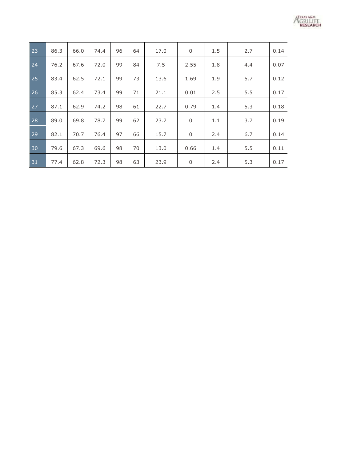

| 23 | 86.3 | 66.0 | 74.4 | 96 | 64 | 17.0 | $\mathbf 0$ | 1.5 | 2.7 | 0.14 |
|----|------|------|------|----|----|------|-------------|-----|-----|------|
| 24 | 76.2 | 67.6 | 72.0 | 99 | 84 | 7.5  | 2.55        | 1.8 | 4.4 | 0.07 |
| 25 | 83.4 | 62.5 | 72.1 | 99 | 73 | 13.6 | 1.69        | 1.9 | 5.7 | 0.12 |
| 26 | 85.3 | 62.4 | 73.4 | 99 | 71 | 21.1 | 0.01        | 2.5 | 5.5 | 0.17 |
| 27 | 87.1 | 62.9 | 74.2 | 98 | 61 | 22.7 | 0.79        | 1.4 | 5.3 | 0.18 |
| 28 | 89.0 | 69.8 | 78.7 | 99 | 62 | 23.7 | $\mathbf 0$ | 1.1 | 3.7 | 0.19 |
| 29 | 82.1 | 70.7 | 76.4 | 97 | 66 | 15.7 | $\mathbf 0$ | 2.4 | 6.7 | 0.14 |
| 30 | 79.6 | 67.3 | 69.6 | 98 | 70 | 13.0 | 0.66        | 1.4 | 5.5 | 0.11 |
|    |      |      |      |    |    |      |             |     |     |      |
| 31 | 77.4 | 62.8 | 72.3 | 98 | 63 | 23.9 | 0           | 2.4 | 5.3 | 0.17 |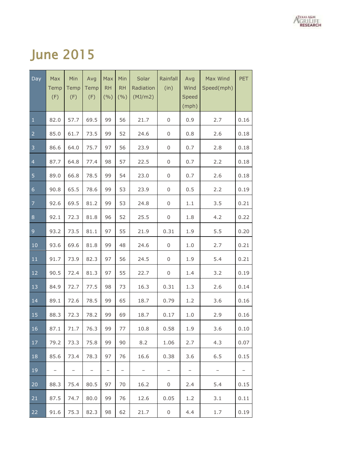

#### June 2015

| Day            | Max<br>Temp<br>(F) | Min<br>Temp<br>(F) | Avg<br>Temp<br>(F) | Max<br><b>RH</b><br>(9/0) | Min<br><b>RH</b><br>(9/0) | Solar<br>Radiation<br>(MJ/m2) | Rainfall<br>(in)  | Avg<br>Wind<br>Speed<br>(mph) | Max Wind<br>Speed(mph) | <b>PET</b>        |
|----------------|--------------------|--------------------|--------------------|---------------------------|---------------------------|-------------------------------|-------------------|-------------------------------|------------------------|-------------------|
| $\mathbf 1$    | 82.0               | 57.7               | 69.5               | 99                        | 56                        | 21.7                          | 0                 | 0.9                           | 2.7                    | 0.16              |
| $\overline{2}$ | 85.0               | 61.7               | 73.5               | 99                        | 52                        | 24.6                          | 0                 | 0.8                           | 2.6                    | 0.18              |
| 3              | 86.6               | 64.0               | 75.7               | 97                        | 56                        | 23.9                          | 0                 | 0.7                           | 2.8                    | 0.18              |
| $\overline{4}$ | 87.7               | 64.8               | 77.4               | 98                        | 57                        | 22.5                          | 0                 | 0.7                           | 2.2                    | 0.18              |
| 5              | 89.0               | 66.8               | 78.5               | 99                        | 54                        | 23.0                          | 0                 | 0.7                           | 2.6                    | 0.18              |
| $\overline{6}$ | 90.8               | 65.5               | 78.6               | 99                        | 53                        | 23.9                          | 0                 | 0.5                           | 2.2                    | 0.19              |
| $\overline{7}$ | 92.6               | 69.5               | 81.2               | 99                        | 53                        | 24.8                          | 0                 | 1.1                           | 3.5                    | 0.21              |
| $\bf 8$        | 92.1               | 72.3               | 81.8               | 96                        | 52                        | 25.5                          | 0                 | 1.8                           | 4.2                    | 0.22              |
| 9              | 93.2               | 73.5               | 81.1               | 97                        | 55                        | 21.9                          | 0.31              | 1.9                           | 5.5                    | 0.20              |
| 10             | 93.6               | 69.6               | 81.8               | 99                        | 48                        | 24.6                          | 0                 | 1.0                           | 2.7                    | 0.21              |
| 11             | 91.7               | 73.9               | 82.3               | 97                        | 56                        | 24.5                          | 0                 | 1.9                           | 5.4                    | 0.21              |
| 12             | 90.5               | 72.4               | 81.3               | 97                        | 55                        | 22.7                          | 0                 | 1.4                           | 3.2                    | 0.19              |
| 13             | 84.9               | 72.7               | 77.5               | 98                        | 73                        | 16.3                          | 0.31              | 1.3                           | 2.6                    | 0.14              |
| 14             | 89.1               | 72.6               | 78.5               | 99                        | 65                        | 18.7                          | 0.79              | 1.2                           | 3.6                    | 0.16              |
| 15             | 88.3               | 72.3               | 78.2               | 99                        | 69                        | 18.7                          | 0.17              | 1.0                           | 2.9                    | 0.16              |
| 16             | 87.1               | 71.7               | 76.3               | 99                        | 77                        | 10.8                          | 0.58              | 1.9                           | 3.6                    | 0.10              |
| 17             | 79.2               | 73.3               | 75.8               | 99                        | 90                        | 8.2                           | 1.06              | 2.7                           | 4.3                    | 0.07              |
| 18             | 85.6               | 73.4               | 78.3               | 97                        | 76                        | 16.6                          | 0.38              | 3.6                           | 6.5                    | 0.15              |
| 19             |                    |                    | $\qquad \qquad -$  | $\qquad \qquad -$         | $\overline{\phantom{0}}$  | -                             | $\qquad \qquad -$ | $\qquad \qquad -$             | $\qquad \qquad -$      | $\qquad \qquad -$ |
| 20             | 88.3               | 75.4               | 80.5               | 97                        | 70                        | 16.2                          | 0                 | 2.4                           | 5.4                    | 0.15              |
| 21             | 87.5               | 74.7               | 80.0               | 99                        | 76                        | 12.6                          | 0.05              | 1.2                           | 3.1                    | 0.11              |
| 22             | 91.6               | 75.3               | 82.3               | 98                        | 62                        | 21.7                          | 0                 | 4.4                           | 1.7                    | 0.19              |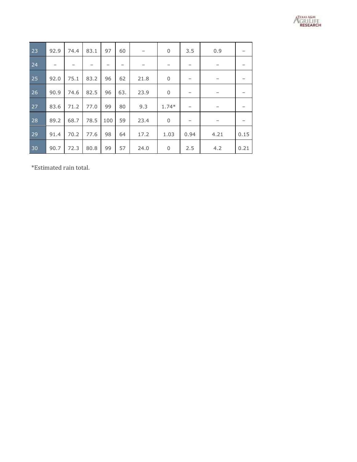

| 23 | 92.9                     | 74.4 | 83.1                     | 97  | 60  | $\overline{\phantom{m}}$ | $\mathbf 0$              | 3.5  | 0.9                      |      |
|----|--------------------------|------|--------------------------|-----|-----|--------------------------|--------------------------|------|--------------------------|------|
| 24 | $\overline{\phantom{0}}$ |      | $\overline{\phantom{0}}$ |     | —   | -                        | $\overline{\phantom{0}}$ |      | $\overline{\phantom{0}}$ |      |
| 25 | 92.0                     | 75.1 | 83.2                     | 96  | 62  | 21.8                     | $\mathbf 0$              |      |                          |      |
| 26 | 90.9                     | 74.6 | 82.5                     | 96  | 63. | 23.9                     | $\mathbf 0$              |      |                          |      |
| 27 | 83.6                     | 71.2 | 77.0                     | 99  | 80  | 9.3                      | $1.74*$                  |      | -                        |      |
| 28 | 89.2                     | 68.7 | 78.5                     | 100 | 59  | 23.4                     | $\mathbf 0$              | -    | -                        |      |
| 29 | 91.4                     | 70.2 | 77.6                     | 98  | 64  | 17.2                     | 1.03                     | 0.94 | 4.21                     | 0.15 |
| 30 | 90.7                     | 72.3 | 80.8                     | 99  | 57  | 24.0                     | $\mathbf 0$              | 2.5  | 4.2                      | 0.21 |

\*Estimated rain total.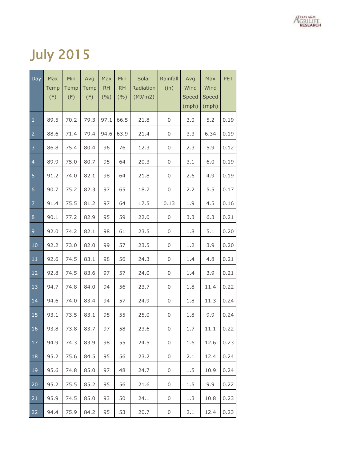

## July 2015

| Day            | Max<br>Temp<br>(F) | Min<br>Temp<br>(F) | Avg<br>Temp<br>(F) | Max<br>RH<br>(9/0) | Min<br><b>RH</b><br>(9/0) | Solar<br>Radiation<br>(MJ/m2) | Rainfall<br>(in) | Avg<br>Wind<br>Speed<br>(mph) | Max<br>Wind<br>Speed<br>(mph) | <b>PET</b> |
|----------------|--------------------|--------------------|--------------------|--------------------|---------------------------|-------------------------------|------------------|-------------------------------|-------------------------------|------------|
| $\mathbf 1$    | 89.5               | 70.2               | 79.3               | 97.1               | 66.5                      | 21.8                          | 0                | 3.0                           | 5.2                           | 0.19       |
| $\overline{2}$ | 88.6               | 71.4               | 79.4               | 94.6               | 63.9                      | 21.4                          | 0                | 3.3                           | 6.34                          | 0.19       |
| 3              | 86.8               | 75.4               | 80.4               | 96                 | 76                        | 12.3                          | 0                | 2.3                           | 5.9                           | 0.12       |
| $\overline{4}$ | 89.9               | 75.0               | 80.7               | 95                 | 64                        | 20.3                          | 0                | 3.1                           | 6.0                           | 0.19       |
| 5              | 91.2               | 74.0               | 82.1               | 98                 | 64                        | 21.8                          | 0                | 2.6                           | 4.9                           | 0.19       |
| $\overline{6}$ | 90.7               | 75.2               | 82.3               | 97                 | 65                        | 18.7                          | 0                | 2.2                           | 5.5                           | 0.17       |
| $\overline{7}$ | 91.4               | 75.5               | 81.2               | 97                 | 64                        | 17.5                          | 0.13             | 1.9                           | 4.5                           | 0.16       |
| $\,8\,$        | 90.1               | 77.2               | 82.9               | 95                 | 59                        | 22.0                          | 0                | 3.3                           | 6.3                           | 0.21       |
| 9              | 92.0               | 74.2               | 82.1               | 98                 | 61                        | 23.5                          | 0                | 1.8                           | 5.1                           | 0.20       |
| 10             | 92.2               | 73.0               | 82.0               | 99                 | 57                        | 23.5                          | 0                | 1.2                           | 3.9                           | 0.20       |
| 11             | 92.6               | 74.5               | 83.1               | 98                 | 56                        | 24.3                          | 0                | 1.4                           | 4.8                           | 0.21       |
| 12             | 92.8               | 74.5               | 83.6               | 97                 | 57                        | 24.0                          | 0                | 1.4                           | 3.9                           | 0.21       |
| 13             | 94.7               | 74.8               | 84.0               | 94                 | 56                        | 23.7                          | 0                | 1.8                           | 11.4                          | 0.22       |
| 14             | 94.6               | 74.0               | 83.4               | 94                 | 57                        | 24.9                          | 0                | 1.8                           | 11.3                          | 0.24       |
| 15             | 93.1               | 73.5               | 83.1               | 95                 | 55                        | 25.0                          | 0                | 1.8                           | 9.9                           | 0.24       |
| 16             | 93.8               | 73.8               | 83.7               | 97                 | 58                        | 23.6                          | 0                | 1.7                           | 11.1                          | 0.22       |
| 17             | 94.9               | 74.3               | 83.9               | 98                 | 55                        | 24.5                          | 0                | 1.6                           | 12.6                          | 0.23       |
| 18             | 95.2               | 75.6               | 84.5               | 95                 | 56                        | 23.2                          | 0                | 2.1                           | 12.4                          | 0.24       |
| 19             | 95.6               | 74.8               | 85.0               | 97                 | 48                        | 24.7                          | 0                | 1.5                           | 10.9                          | 0.24       |
| 20             | 95.2               | 75.5               | 85.2               | 95                 | 56                        | 21.6                          | 0                | 1.5                           | 9.9                           | 0.22       |
| 21             | 95.9               | 74.5               | 85.0               | 93                 | 50                        | 24.1                          | 0                | 1.3                           | 10.8                          | 0.23       |
| 22             | 94.4               | 75.9               | 84.2               | 95                 | 53                        | 20.7                          | 0                | 2.1                           | 12.4                          | 0.23       |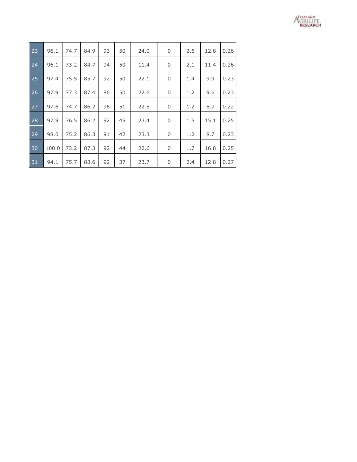

| 23 | 96.1  | 74.7 | 84.9 | 93 | 50 | 24.0 | 0 | 2.6 | 12.8 | 0.26 |
|----|-------|------|------|----|----|------|---|-----|------|------|
| 24 | 96.1  | 73.2 | 84.7 | 94 | 50 | 11.4 | 0 | 2.1 | 11.4 | 0.26 |
| 25 | 97.4  | 75.5 | 85.7 | 92 | 50 | 22.1 | 0 | 1.4 | 9.9  | 0.23 |
| 26 | 97.9  | 77.3 | 87.4 | 86 | 50 | 22.6 | 0 | 1.2 | 9.6  | 0.23 |
| 27 | 97.6  | 74.7 | 86.2 | 96 | 51 | 22.5 | 0 | 1.2 | 8.7  | 0.22 |
| 28 | 97.9  | 76.5 | 86.2 | 92 | 45 | 23.4 | 0 | 1.5 | 15.1 | 0.25 |
| 29 | 98.0  | 75.2 | 86.3 | 91 | 42 | 23.3 | 0 | 1.2 | 8.7  | 0.23 |
| 30 | 100.0 | 73.2 | 87.3 | 92 | 44 | 22.6 | 0 | 1.7 | 16.8 | 0.25 |
| 31 | 94.1  | 75.7 | 83.6 | 92 | 37 | 23.7 | 0 | 2.4 | 12.8 | 0.27 |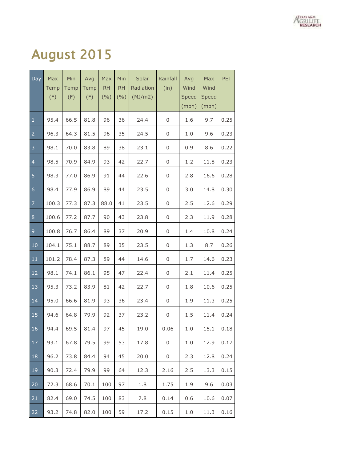

## August 2015

| Day            | Max<br>Temp<br>(F) | Min<br>Temp<br>(F) | Avg<br>Temp<br>(F) | Max<br><b>RH</b><br>(%) | Min<br><b>RH</b><br>(9/6) | Solar<br>Radiation<br>(MJ/m2) | Rainfall<br>(in) | Avg<br>Wind<br>Speed<br>(mph) | Max<br>Wind<br>Speed<br>(mph) | PET  |
|----------------|--------------------|--------------------|--------------------|-------------------------|---------------------------|-------------------------------|------------------|-------------------------------|-------------------------------|------|
| $\mathbf 1$    | 95.4               | 66.5               | 81.8               | 96                      | 36                        | 24.4                          | 0                | 1.6                           | 9.7                           | 0.25 |
| $\overline{2}$ | 96.3               | 64.3               | 81.5               | 96                      | 35                        | 24.5                          | 0                | 1.0                           | 9.6                           | 0.23 |
| 3              | 98.1               | 70.0               | 83.8               | 89                      | 38                        | 23.1                          | 0                | 0.9                           | 8.6                           | 0.22 |
| $\overline{a}$ | 98.5               | 70.9               | 84.9               | 93                      | 42                        | 22.7                          | 0                | 1.2                           | 11.8                          | 0.23 |
| 5              | 98.3               | 77.0               | 86.9               | 91                      | 44                        | 22.6                          | 0                | 2.8                           | 16.6                          | 0.28 |
| $\epsilon$     | 98.4               | 77.9               | 86.9               | 89                      | 44                        | 23.5                          | 0                | 3.0                           | 14.8                          | 0.30 |
| $\overline{7}$ | 100.3              | 77.3               | 87.3               | 88.0                    | 41                        | 23.5                          | 0                | 2.5                           | 12.6                          | 0.29 |
| $\, 8$         | 100.6              | 77.2               | 87.7               | 90                      | 43                        | 23.8                          | 0                | 2.3                           | 11.9                          | 0.28 |
| $\mathsf 9$    | 100.8              | 76.7               | 86.4               | 89                      | 37                        | 20.9                          | 0                | 1.4                           | 10.8                          | 0.24 |
| 10             | 104.1              | 75.1               | 88.7               | 89                      | 35                        | 23.5                          | 0                | 1.3                           | 8.7                           | 0.26 |
| 11             | 101.2              | 78.4               | 87.3               | 89                      | 44                        | 14.6                          | 0                | 1.7                           | 14.6                          | 0.23 |
| 12             | 98.1               | 74.1               | 86.1               | 95                      | 47                        | 22.4                          | 0                | 2.1                           | 11.4                          | 0.25 |
| 13             | 95.3               | 73.2               | 83.9               | 81                      | 42                        | 22.7                          | 0                | 1.8                           | 10.6                          | 0.25 |
| 14             | 95.0               | 66.6               | 81.9               | 93                      | 36                        | 23.4                          | 0                | 1.9                           | 11.3                          | 0.25 |
| 15             | 94.6               | 64.8               | 79.9               | 92                      | 37                        | 23.2                          | 0                | 1.5                           | 11.4                          | 0.24 |
| 16             | 94.4               | 69.5               | 81.4               | 97                      | 45                        | 19.0                          | 0.06             | 1.0                           | 15.1                          | 0.18 |
| 17             | 93.1               | 67.8               | 79.5               | 99                      | 53                        | 17.8                          | 0                | 1.0                           | 12.9                          | 0.17 |
| 18             | 96.2               | 73.8               | 84.4               | 94                      | 45                        | 20.0                          | 0                | 2.3                           | 12.8                          | 0.24 |
| 19             | 90.3               | 72.4               | 79.9               | 99                      | 64                        | 12.3                          | 2.16             | 2.5                           | 13.3                          | 0.15 |
| 20             | 72.3               | 68.6               | 70.1               | 100                     | 97                        | 1.8                           | 1.75             | 1.9                           | 9.6                           | 0.03 |
| 21             | 82.4               | 69.0               | 74.5               | 100                     | 83                        | 7.8                           | 0.14             | 0.6                           | 10.6                          | 0.07 |
| 22             | 93.2               | 74.8               | 82.0               | 100                     | 59                        | 17.2                          | 0.15             | 1.0                           | 11.3                          | 0.16 |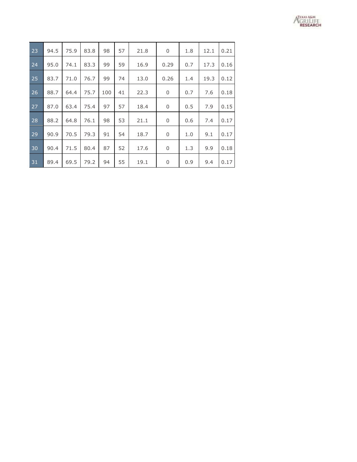

| 23 | 94.5 | 75.9 | 83.8 | 98  | 57 | 21.8 | 0    | 1.8 | 12.1 | 0.21 |
|----|------|------|------|-----|----|------|------|-----|------|------|
| 24 | 95.0 | 74.1 | 83.3 | 99  | 59 | 16.9 | 0.29 | 0.7 | 17.3 | 0.16 |
| 25 | 83.7 | 71.0 | 76.7 | 99  | 74 | 13.0 | 0.26 | 1.4 | 19.3 | 0.12 |
| 26 | 88.7 | 64.4 | 75.7 | 100 | 41 | 22.3 | 0    | 0.7 | 7.6  | 0.18 |
| 27 | 87.0 | 63.4 | 75.4 | 97  | 57 | 18.4 | 0    | 0.5 | 7.9  | 0.15 |
| 28 | 88.2 | 64.8 | 76.1 | 98  | 53 | 21.1 | 0    | 0.6 | 7.4  | 0.17 |
| 29 | 90.9 | 70.5 | 79.3 | 91  | 54 | 18.7 | 0    | 1.0 | 9.1  | 0.17 |
| 30 | 90.4 | 71.5 | 80.4 | 87  | 52 | 17.6 | 0    | 1.3 | 9.9  | 0.18 |
| 31 | 89.4 | 69.5 | 79.2 | 94  | 55 | 19.1 | 0    | 0.9 | 9.4  | 0.17 |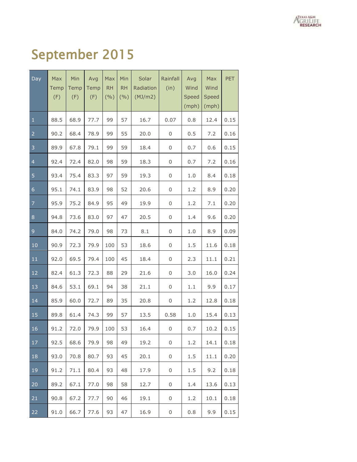

# September 2015

| Day                     | Max<br>Temp<br>(F) | Min<br>Temp<br>(F) | Avg<br>Temp<br>(F) | Max<br><b>RH</b><br>(9/6) | Min<br><b>RH</b><br>(9/0) | Solar<br>Radiation<br>(MJ/m2) | Rainfall<br>(in) | Avg<br>Wind<br>Speed<br>(mph) | Max<br>Wind<br>Speed<br>(mph) | PET  |
|-------------------------|--------------------|--------------------|--------------------|---------------------------|---------------------------|-------------------------------|------------------|-------------------------------|-------------------------------|------|
| $\mathbf 1$             | 88.5               | 68.9               | 77.7               | 99                        | 57                        | 16.7                          | 0.07             | 0.8                           | 12.4                          | 0.15 |
| $\overline{2}$          | 90.2               | 68.4               | 78.9               | 99                        | 55                        | 20.0                          | 0                | 0.5                           | 7.2                           | 0.16 |
| $\overline{\mathbf{3}}$ | 89.9               | 67.8               | 79.1               | 99                        | 59                        | 18.4                          | 0                | 0.7                           | 0.6                           | 0.15 |
| $\overline{4}$          | 92.4               | 72.4               | 82.0               | 98                        | 59                        | 18.3                          | 0                | 0.7                           | 7.2                           | 0.16 |
| 5                       | 93.4               | 75.4               | 83.3               | 97                        | 59                        | 19.3                          | 0                | 1.0                           | 8.4                           | 0.18 |
| $\epsilon$              | 95.1               | 74.1               | 83.9               | 98                        | 52                        | 20.6                          | 0                | 1.2                           | 8.9                           | 0.20 |
| $\overline{7}$          | 95.9               | 75.2               | 84.9               | 95                        | 49                        | 19.9                          | 0                | 1.2                           | 7.1                           | 0.20 |
| 8                       | 94.8               | 73.6               | 83.0               | 97                        | 47                        | 20.5                          | 0                | 1.4                           | 9.6                           | 0.20 |
| $\overline{9}$          | 84.0               | 74.2               | 79.0               | 98                        | 73                        | $8.1\,$                       | 0                | 1.0                           | 8.9                           | 0.09 |
| $10\,$                  | 90.9               | 72.3               | 79.9               | 100                       | 53                        | 18.6                          | 0                | 1.5                           | 11.6                          | 0.18 |
| 11                      | 92.0               | 69.5               | 79.4               | 100                       | 45                        | 18.4                          | 0                | 2.3                           | 11.1                          | 0.21 |
| $12\,$                  | 82.4               | 61.3               | 72.3               | 88                        | 29                        | 21.6                          | 0                | 3.0                           | 16.0                          | 0.24 |
| 13                      | 84.6               | 53.1               | 69.1               | 94                        | 38                        | 21.1                          | 0                | 1.1                           | 9.9                           | 0.17 |
| 14                      | 85.9               | 60.0               | 72.7               | 89                        | 35                        | 20.8                          | 0                | 1.2                           | 12.8                          | 0.18 |
| 15                      | 89.8               | 61.4               | 74.3               | 99                        | 57                        | 13.5                          | 0.58             | 1.0                           | 15.4                          | 0.13 |
| 16                      | 91.2               | 72.0               | 79.9               | 100                       | 53                        | 16.4                          | $\mathsf 0$      | 0.7                           | 10.2                          | 0.15 |
| 17                      | 92.5               | 68.6               | 79.9               | 98                        | 49                        | 19.2                          | 0                | 1.2                           | 14.1                          | 0.18 |
| 18                      | 93.0               | 70.8               | 80.7               | 93                        | 45                        | 20.1                          | 0                | 1.5                           | 11.1                          | 0.20 |
| 19                      | 91.2               | 71.1               | 80.4               | 93                        | 48                        | 17.9                          | 0                | 1.5                           | 9.2                           | 0.18 |
| 20                      | 89.2               | 67.1               | 77.0               | 98                        | 58                        | 12.7                          | 0                | 1.4                           | 13.6                          | 0.13 |
| 21                      | 90.8               | 67.2               | 77.7               | 90                        | 46                        | 19.1                          | 0                | 1.2                           | 10.1                          | 0.18 |
| 22                      | 91.0               | 66.7               | 77.6               | 93                        | 47                        | 16.9                          | 0                | 0.8                           | 9.9                           | 0.15 |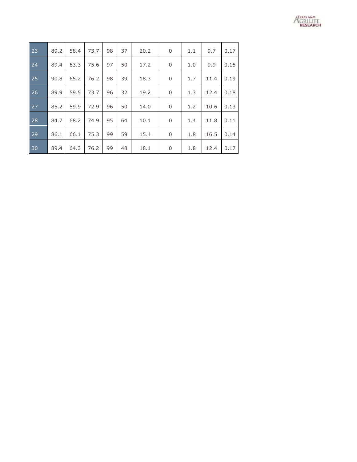

| 23 | 89.2 | 58.4 | 73.7 | 98 | 37 | 20.2 | 0 | 1.1 | 9.7  | 0.17 |
|----|------|------|------|----|----|------|---|-----|------|------|
| 24 | 89.4 | 63.3 | 75.6 | 97 | 50 | 17.2 | 0 | 1.0 | 9.9  | 0.15 |
| 25 | 90.8 | 65.2 | 76.2 | 98 | 39 | 18.3 | 0 | 1.7 | 11.4 | 0.19 |
| 26 | 89.9 | 59.5 | 73.7 | 96 | 32 | 19.2 | 0 | 1.3 | 12.4 | 0.18 |
| 27 | 85.2 | 59.9 | 72.9 | 96 | 50 | 14.0 | 0 | 1.2 | 10.6 | 0.13 |
| 28 | 84.7 | 68.2 | 74.9 | 95 | 64 | 10.1 | 0 | 1.4 | 11.8 | 0.11 |
| 29 | 86.1 | 66.1 | 75.3 | 99 | 59 | 15.4 | 0 | 1.8 | 16.5 | 0.14 |
| 30 | 89.4 | 64.3 | 76.2 | 99 | 48 | 18.1 | 0 | 1.8 | 12.4 | 0.17 |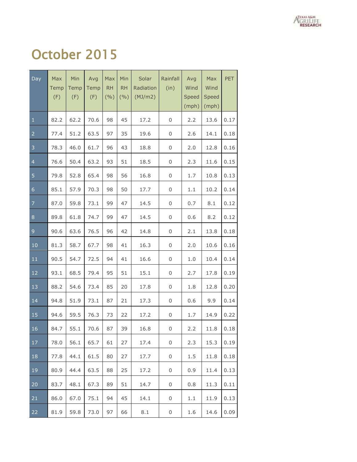

## October 2015

| Day            | Max<br>Temp<br>(F) | Min<br>Temp<br>(F) | Avg<br>Temp<br>(F) | Max<br><b>RH</b><br>(9/0) | Min<br><b>RH</b><br>(9/0) | Solar<br>Radiation<br>(MJ/m2) | Rainfall<br>(in) | Avg<br>Wind<br>Speed<br>(mph) | Max<br>Wind<br>Speed<br>(mph) | PET  |
|----------------|--------------------|--------------------|--------------------|---------------------------|---------------------------|-------------------------------|------------------|-------------------------------|-------------------------------|------|
| $\mathbf 1$    | 82.2               | 62.2               | 70.6               | 98                        | 45                        | 17.2                          | $\boldsymbol{0}$ | 2.2                           | 13.6                          | 0.17 |
| $\overline{2}$ | 77.4               | 51.2               | 63.5               | 97                        | 35                        | 19.6                          | $\boldsymbol{0}$ | 2.6                           | 14.1                          | 0.18 |
| 3              | 78.3               | 46.0               | 61.7               | 96                        | 43                        | 18.8                          | $\boldsymbol{0}$ | 2.0                           | 12.8                          | 0.16 |
| $\overline{4}$ | 76.6               | 50.4               | 63.2               | 93                        | 51                        | 18.5                          | $\boldsymbol{0}$ | 2.3                           | 11.6                          | 0.15 |
| 5              | 79.8               | 52.8               | 65.4               | 98                        | 56                        | 16.8                          | $\boldsymbol{0}$ | 1.7                           | 10.8                          | 0.13 |
| $\overline{6}$ | 85.1               | 57.9               | 70.3               | 98                        | 50                        | 17.7                          | $\boldsymbol{0}$ | 1.1                           | 10.2                          | 0.14 |
| $\overline{7}$ | 87.0               | 59.8               | 73.1               | 99                        | 47                        | 14.5                          | $\boldsymbol{0}$ | 0.7                           | 8.1                           | 0.12 |
| $\,8\,$        | 89.8               | 61.8               | 74.7               | 99                        | 47                        | 14.5                          | $\boldsymbol{0}$ | 0.6                           | 8.2                           | 0.12 |
| 9              | 90.6               | 63.6               | 76.5               | 96                        | 42                        | 14.8                          | $\boldsymbol{0}$ | 2.1                           | 13.8                          | 0.18 |
| 10             | 81.3               | 58.7               | 67.7               | 98                        | 41                        | 16.3                          | $\boldsymbol{0}$ | 2.0                           | 10.6                          | 0.16 |
| 11             | 90.5               | 54.7               | 72.5               | 94                        | 41                        | 16.6                          | $\boldsymbol{0}$ | 1.0                           | 10.4                          | 0.14 |
| 12             | 93.1               | 68.5               | 79.4               | 95                        | 51                        | 15.1                          | $\boldsymbol{0}$ | 2.7                           | 17.8                          | 0.19 |
| 13             | 88.2               | 54.6               | 73.4               | 85                        | 20                        | 17.8                          | $\boldsymbol{0}$ | 1.8                           | 12.8                          | 0.20 |
| 14             | 94.8               | 51.9               | 73.1               | 87                        | 21                        | 17.3                          | $\boldsymbol{0}$ | 0.6                           | 9.9                           | 0.14 |
| 15             | 94.6               | 59.5               | 76.3               | 73                        | 22                        | 17.2                          | $\boldsymbol{0}$ | 1.7                           | 14.9                          | 0.22 |
| 16             | 84.7               | 55.1               | 70.6               | 87                        | 39                        | 16.8                          | 0                | 2.2                           | 11.8                          | 0.18 |
| 17             | 78.0               | 56.1               | 65.7               | 61                        | 27                        | 17.4                          | 0                | 2.3                           | 15.3                          | 0.19 |
| 18             | 77.8               | 44.1               | 61.5               | 80                        | 27                        | 17.7                          | 0                | 1.5                           | 11.8                          | 0.18 |
| 19             | 80.9               | 44.4               | 63.5               | 88                        | 25                        | 17.2                          | 0                | 0.9                           | 11.4                          | 0.13 |
| 20             | 83.7               | 48.1               | 67.3               | 89                        | 51                        | 14.7                          | 0                | 0.8                           | 11.3                          | 0.11 |
| 21             | 86.0               | 67.0               | 75.1               | 94                        | 45                        | 14.1                          | 0                | 1.1                           | 11.9                          | 0.13 |
| 22             | 81.9               | 59.8               | 73.0               | 97                        | 66                        | 8.1                           | 0                | 1.6                           | 14.6                          | 0.09 |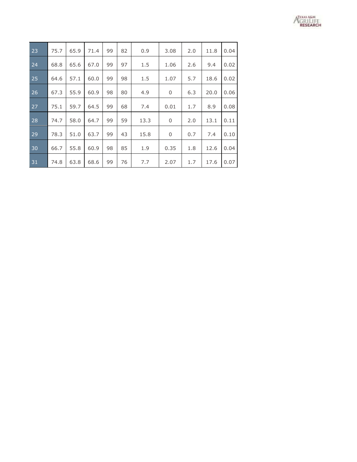

| 23 | 75.7 | 65.9 | 71.4 | 99 | 82 | 0.9  | 3.08        | 2.0 | 11.8 | 0.04 |
|----|------|------|------|----|----|------|-------------|-----|------|------|
| 24 | 68.8 | 65.6 | 67.0 | 99 | 97 | 1.5  | 1.06        | 2.6 | 9.4  | 0.02 |
| 25 | 64.6 | 57.1 | 60.0 | 99 | 98 | 1.5  | 1.07        | 5.7 | 18.6 | 0.02 |
| 26 | 67.3 | 55.9 | 60.9 | 98 | 80 | 4.9  | 0           | 6.3 | 20.0 | 0.06 |
| 27 | 75.1 | 59.7 | 64.5 | 99 | 68 | 7.4  | 0.01        | 1.7 | 8.9  | 0.08 |
| 28 | 74.7 | 58.0 | 64.7 | 99 | 59 | 13.3 | $\mathbf 0$ | 2.0 | 13.1 | 0.11 |
| 29 | 78.3 | 51.0 | 63.7 | 99 | 43 | 15.8 | $\mathbf 0$ | 0.7 | 7.4  | 0.10 |
| 30 | 66.7 | 55.8 | 60.9 | 98 | 85 | 1.9  | 0.35        | 1.8 | 12.6 | 0.04 |
| 31 | 74.8 | 63.8 | 68.6 | 99 | 76 | 7.7  | 2.07        | 1.7 | 17.6 | 0.07 |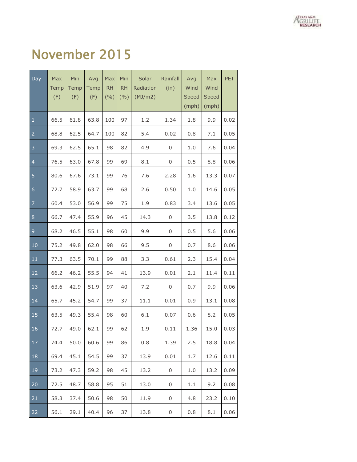

#### November 2015

| Day            | Max<br>Temp<br>(F) | Min<br>Temp<br>(F) | Avg<br>Temp<br>(F) | Max<br><b>RH</b><br>(9/6) | Min<br><b>RH</b><br>(9/0) | Solar<br>Radiation<br>(MJ/m2) | Rainfall<br>(in)    | Avg<br>Wind<br>Speed<br>(mph) | Max<br>Wind<br>Speed<br>(mph) | PET  |
|----------------|--------------------|--------------------|--------------------|---------------------------|---------------------------|-------------------------------|---------------------|-------------------------------|-------------------------------|------|
| $\mathbf{1}$   | 66.5               | 61.8               | 63.8               | 100                       | 97                        | 1.2                           | 1.34                | 1.8                           | 9.9                           | 0.02 |
| $\overline{2}$ | 68.8               | 62.5               | 64.7               | 100                       | 82                        | 5.4                           | 0.02                | 0.8                           | 7.1                           | 0.05 |
| 3              | 69.3               | 62.5               | 65.1               | 98                        | 82                        | 4.9                           | $\boldsymbol{0}$    | 1.0                           | 7.6                           | 0.04 |
| $\overline{4}$ | 76.5               | 63.0               | 67.8               | 99                        | 69                        | 8.1                           | $\boldsymbol{0}$    | 0.5                           | 8.8                           | 0.06 |
| 5              | 80.6               | 67.6               | 73.1               | 99                        | 76                        | 7.6                           | 2.28                | 1.6                           | 13.3                          | 0.07 |
| $\overline{6}$ | 72.7               | 58.9               | 63.7               | 99                        | 68                        | 2.6                           | 0.50                | 1.0                           | 14.6                          | 0.05 |
| $\overline{7}$ | 60.4               | 53.0               | 56.9               | 99                        | 75                        | 1.9                           | 0.83                | 3.4                           | 13.6                          | 0.05 |
| 8              | 66.7               | 47.4               | 55.9               | 96                        | 45                        | 14.3                          | $\mathbf 0$         | 3.5                           | 13.8                          | 0.12 |
| 9              | 68.2               | 46.5               | 55.1               | 98                        | 60                        | 9.9                           | $\mathbf 0$         | 0.5                           | 5.6                           | 0.06 |
| 10             | 75.2               | 49.8               | 62.0               | 98                        | 66                        | 9.5                           | $\mathsf 0$         | 0.7                           | 8.6                           | 0.06 |
| 11             | 77.3               | 63.5               | 70.1               | 99                        | 88                        | 3.3                           | 0.61                | 2.3                           | 15.4                          | 0.04 |
| 12             | 66.2               | 46.2               | 55.5               | 94                        | 41                        | 13.9                          | 0.01                | 2.1                           | 11.4                          | 0.11 |
| 13             | 63.6               | 42.9               | 51.9               | 97                        | 40                        | 7.2                           | $\mathsf{O}\xspace$ | 0.7                           | 9.9                           | 0.06 |
| 14             | 65.7               | 45.2               | 54.7               | 99                        | 37                        | 11.1                          | 0.01                | 0.9                           | 13.1                          | 0.08 |
| 15             | 63.5               | 49.3               | 55.4               | 98                        | 60                        | 6.1                           | 0.07                | 0.6                           | 8.2                           | 0.05 |
| 16             | 72.7               | 49.0               | 62.1               | 99                        | 62                        | 1.9                           | 0.11                | 1.36                          | 15.0                          | 0.03 |
| 17             | 74.4               | 50.0               | 60.6               | 99                        | 86                        | 0.8                           | 1.39                | 2.5                           | 18.8                          | 0.04 |
| 18             | 69.4               | 45.1               | 54.5               | 99                        | 37                        | 13.9                          | 0.01                | 1.7                           | 12.6                          | 0.11 |
| 19             | 73.2               | 47.3               | 59.2               | 98                        | 45                        | 13.2                          | 0                   | 1.0                           | 13.2                          | 0.09 |
| 20             | 72.5               | 48.7               | 58.8               | 95                        | 51                        | 13.0                          | 0                   | $1.1\,$                       | 9.2                           | 0.08 |
| 21             | 58.3               | 37.4               | 50.6               | 98                        | 50                        | 11.9                          | 0                   | 4.8                           | 23.2                          | 0.10 |
| 22             | 56.1               | 29.1               | 40.4               | 96                        | 37                        | 13.8                          | 0                   | 0.8                           | 8.1                           | 0.06 |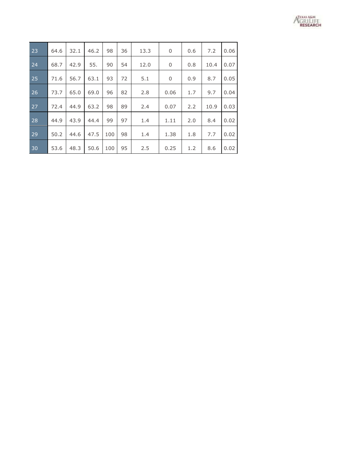

| 23 | 64.6 | 32.1 | 46.2 | 98  | 36 | 13.3 | 0           | 0.6 | 7.2  | 0.06 |
|----|------|------|------|-----|----|------|-------------|-----|------|------|
| 24 | 68.7 | 42.9 | 55.  | 90  | 54 | 12.0 | 0           | 0.8 | 10.4 | 0.07 |
| 25 | 71.6 | 56.7 | 63.1 | 93  | 72 | 5.1  | $\mathbf 0$ | 0.9 | 8.7  | 0.05 |
| 26 | 73.7 | 65.0 | 69.0 | 96  | 82 | 2.8  | 0.06        | 1.7 | 9.7  | 0.04 |
| 27 | 72.4 | 44.9 | 63.2 | 98  | 89 | 2.4  | 0.07        | 2.2 | 10.9 | 0.03 |
| 28 | 44.9 | 43.9 | 44.4 | 99  | 97 | 1.4  | 1.11        | 2.0 | 8.4  | 0.02 |
| 29 | 50.2 | 44.6 | 47.5 | 100 | 98 | 1.4  | 1.38        | 1.8 | 7.7  | 0.02 |
| 30 | 53.6 | 48.3 | 50.6 | 100 | 95 | 2.5  | 0.25        | 1.2 | 8.6  | 0.02 |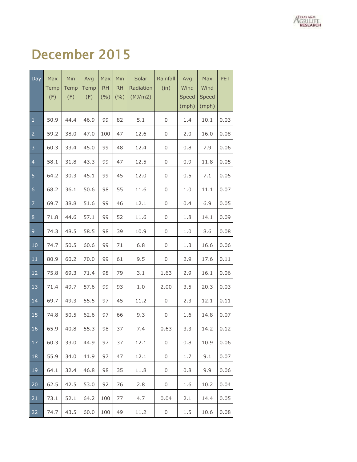

## December 2015

| Day                     | Max<br>Temp<br>(F) | Min<br>Temp<br>(F) | Avg<br>Temp<br>(F) | Max<br>RH<br>(9/0) | Min<br><b>RH</b><br>(9/0) | Solar<br>Radiation<br>(MJ/m2) | Rainfall<br>(in) | Avg<br>Wind<br>Speed<br>(mph) | Max<br>Wind<br>Speed<br>(mph) | <b>PET</b> |
|-------------------------|--------------------|--------------------|--------------------|--------------------|---------------------------|-------------------------------|------------------|-------------------------------|-------------------------------|------------|
| $\mathbf 1$             | 50.9               | 44.4               | 46.9               | 99                 | 82                        | 5.1                           | $\,0\,$          | 1.4                           | 10.1                          | 0.03       |
| $\overline{2}$          | 59.2               | 38.0               | 47.0               | 100                | 47                        | 12.6                          | 0                | 2.0                           | 16.0                          | 0.08       |
| $\overline{\mathbf{3}}$ | 60.3               | 33.4               | 45.0               | 99                 | 48                        | 12.4                          | 0                | 0.8                           | 7.9                           | 0.06       |
| $\overline{a}$          | 58.1               | 31.8               | 43.3               | 99                 | 47                        | 12.5                          | 0                | 0.9                           | 11.8                          | 0.05       |
| $\overline{5}$          | 64.2               | 30.3               | 45.1               | 99                 | 45                        | 12.0                          | 0                | 0.5                           | 7.1                           | 0.05       |
| $\sqrt{6}$              | 68.2               | 36.1               | 50.6               | 98                 | 55                        | 11.6                          | 0                | 1.0                           | 11.1                          | 0.07       |
| $\overline{7}$          | 69.7               | 38.8               | 51.6               | 99                 | 46                        | 12.1                          | 0                | 0.4                           | 6.9                           | 0.05       |
| $\bf 8$                 | 71.8               | 44.6               | 57.1               | 99                 | 52                        | 11.6                          | 0                | 1.8                           | 14.1                          | 0.09       |
| $\overline{9}$          | 74.3               | 48.5               | 58.5               | 98                 | 39                        | 10.9                          | 0                | 1.0                           | 8.6                           | 0.08       |
| 10                      | 74.7               | 50.5               | 60.6               | 99                 | 71                        | 6.8                           | 0                | 1.3                           | 16.6                          | 0.06       |
| $11\,$                  | 80.9               | 60.2               | 70.0               | 99                 | 61                        | 9.5                           | $\boldsymbol{0}$ | 2.9                           | 17.6                          | 0.11       |
| 12                      | 75.8               | 69.3               | 71.4               | 98                 | 79                        | 3.1                           | 1.63             | 2.9                           | 16.1                          | 0.06       |
| 13                      | 71.4               | 49.7               | 57.6               | 99                 | 93                        | $1.0$                         | 2.00             | 3.5                           | 20.3                          | 0.03       |
| 14                      | 69.7               | 49.3               | 55.5               | 97                 | 45                        | 11.2                          | 0                | 2.3                           | 12.1                          | 0.11       |
| 15                      | 74.8               | 50.5               | 62.6               | 97                 | 66                        | 9.3                           | 0                | 1.6                           | 14.8                          | 0.07       |
| 16                      | 65.9               | 40.8               | 55.3               | 98                 | 37                        | 7.4                           | 0.63             | 3.3                           | 14.2                          | 0.12       |
| 17                      | 60.3               | 33.0               | 44.9               | 97                 | 37                        | 12.1                          | 0                | 0.8                           | 10.9                          | 0.06       |
| 18                      | 55.9               | 34.0               | 41.9               | 97                 | 47                        | 12.1                          | 0                | 1.7                           | 9.1                           | 0.07       |
| 19                      | 64.1               | 32.4               | 46.8               | 98                 | 35                        | 11.8                          | 0                | 0.8                           | 9.9                           | 0.06       |
| 20                      | 62.5               | 42.5               | 53.0               | 92                 | 76                        | 2.8                           | 0                | 1.6                           | 10.2                          | 0.04       |
| 21                      | 73.1               | 52.1               | 64.2               | 100                | 77                        | 4.7                           | 0.04             | 2.1                           | 14.4                          | 0.05       |
| 22                      | 74.7               | 43.5               | 60.0               | 100                | 49                        | 11.2                          | 0                | 1.5                           | 10.6                          | 0.08       |